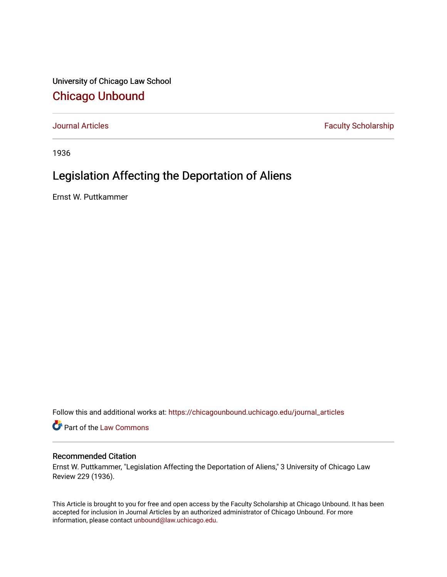University of Chicago Law School [Chicago Unbound](https://chicagounbound.uchicago.edu/)

[Journal Articles](https://chicagounbound.uchicago.edu/journal_articles) **Faculty Scholarship Faculty Scholarship** 

1936

# Legislation Affecting the Deportation of Aliens

Ernst W. Puttkammer

Follow this and additional works at: [https://chicagounbound.uchicago.edu/journal\\_articles](https://chicagounbound.uchicago.edu/journal_articles?utm_source=chicagounbound.uchicago.edu%2Fjournal_articles%2F9231&utm_medium=PDF&utm_campaign=PDFCoverPages) 

Part of the [Law Commons](http://network.bepress.com/hgg/discipline/578?utm_source=chicagounbound.uchicago.edu%2Fjournal_articles%2F9231&utm_medium=PDF&utm_campaign=PDFCoverPages)

### Recommended Citation

Ernst W. Puttkammer, "Legislation Affecting the Deportation of Aliens," 3 University of Chicago Law Review 229 (1936).

This Article is brought to you for free and open access by the Faculty Scholarship at Chicago Unbound. It has been accepted for inclusion in Journal Articles by an authorized administrator of Chicago Unbound. For more information, please contact [unbound@law.uchicago.edu](mailto:unbound@law.uchicago.edu).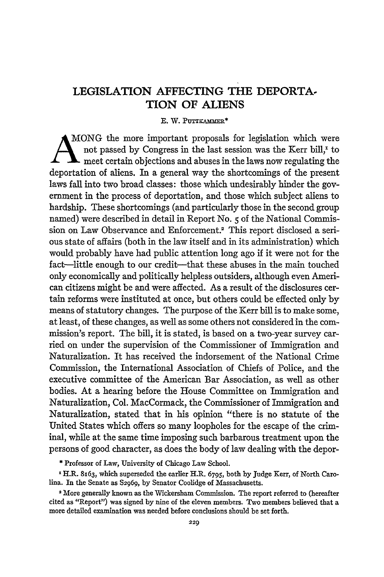## **LEGISLATION AFFECTING THE DEPORTA-TION OF ALIENS**

### E. W. PUTTKAMMER\*

AMO0NG the more important proposals for legislation which were not passed by Congress in the last session was the Kerr bill,' to If **I** meet certain objections and abuses in the laws now regulating the deportation of aliens. In a general way the shortcomings of the present laws fall into two broad classes: those which undesirably hinder the government in the process of deportation, and those which subject aliens to hardship. These shortcomings (and particularly those in the second group named) were described in detail in Report No. 5 of the National Commission on Law Observance and Enforcement.2 This report disclosed a serious state of affairs (both in the law itself and in its administration) which would probably have had public attention long ago if it were not for the fact—little enough to our credit—that these abuses in the main touched only economically and politically helpless outsiders, although even American citizens might be and were affected. As a result of the disclosures certain reforms were instituted at once, but others could be effected only by means of statutory changes. The purpose of the Kerr bill is to make some, at least, of these changes, as well as some others not considered in the commission's report. The bill, it is stated, is based on a two-year survey carried on under the supervision of the Commissioner of Immigration and Naturalization. It has received the indorsement of the National Crime Commission, the International Association of Chiefs of Police, and the executive committee of the American Bar Association, as well as other bodies. At a hearing before the House Committee on Immigration and Naturalization, Col. MacCormack, the Commissioner of Immigration and Naturalization, stated that in his opinion "there is no statute of the United States which offers so many loopholes for the escape of the criminal, while at the same time imposing such barbarous treatment upon the persons of good character, as does the body of law dealing with the depor-

**\*** Professor of Law, University of Chicago Law School.

x H.R. 8x63, which superseded the earlier H.R. 6795, both by Judge Kerr, of North Carolina. In the Senate as **S2969,** by Senator Coolidge of Massachusetts.

<sup>2</sup>More generally known as the Wickersham Commission. The report referred to (hereafter cited as "Report") was signed by nine of the eleven members. Two members believed that a more detailed examination was needed before conclusions should be set forth.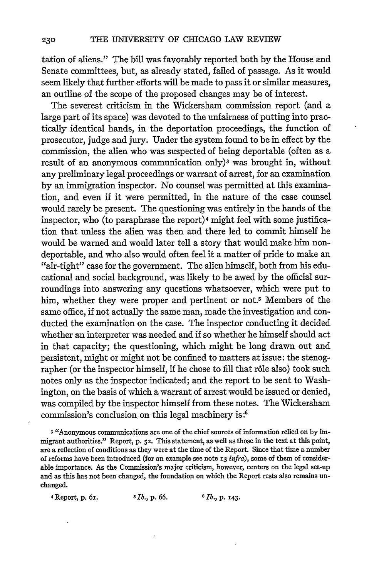tation of aliens." The bill was favorably reported both by the House and Senate committees, but, as already stated, failed of passage. As it would seem likely that further efforts will be made to pass it or similar measures, an outline of the scope of the proposed changes may be of interest.

The severest criticism in the Wickersham commission report (and a large part of its space) was devoted to the unfairness of putting into practically identical hands, in the deportation proceedings, the function of prosecutor, judge and jury. Under the system found to be in effect by the commission, the alien who was suspected of being deportable (often as a result of an anonymous communication only)<sup>3</sup> was brought in, without any preliminary legal proceedings or warrant of arrest, for an examination by an immigration inspector. No counsel was permitted at this examination, and even if it were permitted, in the nature of the case counsel would rarely be present. The questioning was entirely in the hands of the inspector, who (to paraphrase the report)4 might feel with some justification that unless the alien was then and there led to commit himself he would be warned and would later tell a story that would make him nondeportable, and who also would often feel it a matter of pride to make an "air-tight" case for the government. The alien himself, both from his educational and social background, was likely to be awed by the official surroundings into answering any questions whatsoever, which were put to him, whether they were proper and pertinent or not.<sup>5</sup> Members of the same office, if not actually the same man, made the investigation and conducted the examination on the case. The inspector conducting it decided whether an interpreter was needed and if so whether he himself should act in that capacity; the questioning, which might be long drawn out and persistent, might or might not be confined to matters at issue: the stenographer (or the inspector himself, if he chose to fill that rôle also) took such notes only as the inspector indicated; and the report to be sent to Washington, on the basis of which a warrant of arrest would be issued or denied, was compiled by the inspector himself from these notes. The Wickersham commission's conclusion, on this legal machinery *is:6*

**s** "Anonymous communications **are** one of the chief sources of information relied on **by** immigrant authorities." Report, **p. 52.** This statement, as well as those in the text at this point, are **a** reflection of conditions as they were at the time of the Report. Since that time **a** number of reforms have been introduced (for **an** example see note **13** *infra),* some of them of considerable importance. As the Commission's major criticism, however, centers **on the** legal set-up and as this has not been changed, the foundation on which the Report rests also remains unchanged.

<sup>4</sup>Report, **p. 61.** *s Ib.,* **p. 66.** *<sup>6</sup> Ib.,* **p. 143.**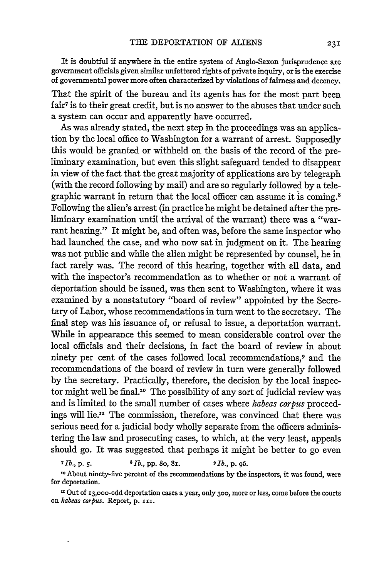It is doubtful **if** anywhere in the entire system of Anglo-Saxon jurisprudence are government officials given similar unfettered rights of private inquiry, or is the exercise of governmental power more often characterized by violations of fairness and decency.

That the spirit of the bureau and its agents has for the most part been fair<sup>7</sup> is to their great credit, but is no answer to the abuses that under such a system can occur and apparently have occurred.

As was already stated, the next step in the proceedings was an application by the local office to Washington for a warrant of arrest. Supposedly this would be granted or withheld on the basis of the record of the preliminary examination, but even this slight safeguard tended to disappear in view of the fact that the great majority of applications are by telegraph (with the record following by mail) and are so regularly followed by a telegraphic warrant in return that the local officer can assume it is coming.<sup>8</sup> Following the alien's arrest (in practice he might be detained after the preliminary examination until the arrival of the warrant) there was a "warrant hearing." It might be, and often was, before the same inspector who had launched the case, and who now sat in judgment on it. The hearing was not public and while the alien might be represented by counsel, he in fact rarely was. The record of this hearing, together with all data, and with the inspector's recommendation as to whether or not a warrant of deportation should be issued, was then sent to Washington, where it was examined by a nonstatutory "board of review" appointed by the Secretary of Labor, whose recommendations in turn went to the secretary. The final step was his issuance of, or refusal to issue, a deportation warrant. While in appearance this seemed to mean considerable control over the local officials and their decisions, in fact the board of review in about ninety per cent of the cases followed local recommendations,<sup>9</sup> and the recommendations of the board of review in turn were generally followed by the secretary. Practically, therefore, the decision by the local inspector might well be final."° The possibility of any sort of judicial review was and is limited to the small number of cases where *habeas corpus* proceedings will lie." The commission, therefore, was convinced that there was serious need for a judicial body wholly separate from the officers administering the law and prosecuting cases, to which, at the very least, appeals should go. It was suggested that perhaps it might be better to go even

**<sup>7</sup>***Ib.,* p. *5. <sup>8</sup> 1b.,* pp. 8o, **81.** *9 Ib.,* p. 96.

**10** About ninety-five percent of the recommendations by the inspectors, it was found, were for deportation.

**1** Out of i3,ooo-odd deportation cases a year, only 3oo, more or less, come before the courts on habeas corpus. Report, p. III.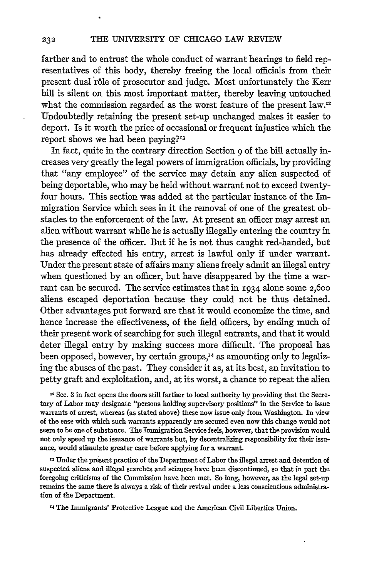farther and to entrust the whole conduct of warrant hearings to field representatives of this body, thereby freeing the local officials from their present dual rôle of prosecutor and judge. Most unfortunately the Kerr bill is silent on this most important matter, thereby leaving untouched what the commission regarded as the worst feature of the present law.<sup>12</sup> Undoubtedly retaining the present set-up unchanged makes it easier to deport. Is it worth the price of occasional or frequent injustice which the report shows we had been paying?<sup>13</sup>

In fact, quite in the contrary direction Section 9 of the bill actually increases very greatly the legal powers of immigration officials, by providing that "any employee" of the service may detain any alien suspected of being deportable, who may be held without warrant not to exceed twentyfour hours. This section was added at the particular instance of the Immigration Service which sees in it the removal of one of the greatest obstacles to the enforcement of the law. At present an officer may arrest an alien without warrant while he is actually illegally entering the country in the presence of the officer. But if he is not thus caught red-handed, but has already effected his entry, arrest is lawful only if under warrant. Under the present state of affairs many aliens freely admit an illegal entry when questioned by an officer, but have disappeared by the time a warrant can be secured. The service estimates that in 1934 alone some **2,600** aliens escaped deportation because they could not be thus detained. Other advantages put forward are that it would economize the time, and hence increase the effectiveness, of the field officers, by ending much of their present work of searching for such illegal entrants, and that it would deter illegal entry by making success more difficult. The proposal has been opposed, however, by certain groups,<sup>14</sup> as amounting only to legalizing the abuses of the past. They consider it as, at its best, an invitation to petty graft and exploitation, and, at its worst, a chance to repeat the alien

12 Sec. 8 in fact opens the doors still farther to local authority by providing that the Secretary of Labor may designate "persons holding supervisory positions" in the Service to issue warrants of arrest, whereas (as stated above) these now issue only from Washington. In view of the ease with which such warrants apparently are secured even now this change would not seem to be one of substance. The Immigration Service feels, however, that the provision would not only speed up the issuance of warrants but, by decentralizing responsibility for their issuance, would stimulate greater care before applying for a warrant.

**13** Under the present practice of the Department of Labor the illegal arrest and detention of suspected aliens and illegal searches and seizures have been discontinued, so that in part the foregoing criticisms of the Commission have been met. So long, however, as the legal set-up remains the same there is always a risk of their revival under a less conscientious administration of the Department.

<sup>14</sup> The Immigrants' Protective League and the American Civil Liberties Union.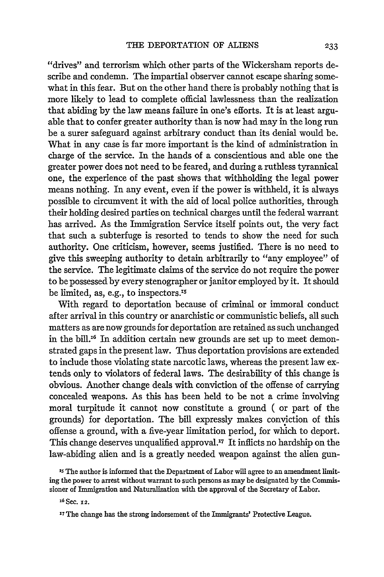"drives" and terrorism which other parts of the Wickersham reports describe and condemn. The impartial observer cannot escape sharing somewhat in this fear. But on the other hand there is probably nothing that is more likely to lead to complete official lawlessness than the realization that abiding by the law means failure in one's efforts. It is at least arguable that to confer greater authority than is now had may in the long run be a surer safeguard against arbitrary conduct than its denial would be. What in any case is far more important is the kind of administration in charge of the service. In the hands of a conscientious and able one the greater power does not need to be feared, and during a ruthless tyrannical one, the experience of the past shows that withholding the legal power means nothing. In any event, even **if** the power is withheld, it is always possible to circumvent it with the aid of local police authorities, through their holding desired parties on technical charges until the federal warrant has arrived. As the Immigration Service itself points out, the very fact that such a subterfuge is resorted to tends to show the need for such authority. One criticism, however, seems justified. There is no need to give this sweeping authority to detain arbitrarily to "any employee" of the service. The legitimate claims of the service do not require the power to be possessed by every stenographer or janitor employed by it. It should be limited, as, e.g., to inspectors.'5

With regard to deportation because of criminal or immoral conduct after arrival in this country or anarchistic or communistic beliefs, all such matters as are now grounds for deportation are retained as such unchanged in the bill.<sup>16</sup> In addition certain new grounds are set up to meet demonstrated gaps in the present law. Thus deportation provisions are extended to include those violating state narcotic laws, whereas the present law extends only to violators of federal laws. The desirability of this change is obvious. Another change deals with conviction of the offense of carrying concealed weapons. As this has been held to be not a crime involving moral turpitude it cannot now constitute a ground ( or part of the grounds) for deportation. The bill expressly makes conviction of this offense a ground, with a five-year limitation period, for which to deport. This change deserves unqualified approval.'7 It inflicts no hardship on the law-abiding alien and is a greatly needed weapon against the alien gun-

<sup>15</sup> The author is informed that the Department of Labor will agree to an amendment limiting the power to arrest without warrant to such persons as may be designated **by** the Commissioner of Immigration and Naturalization with the approval of the Secretary of Labor.

**z6** Sec. **12.**

**<sup>17</sup>** The change has the strong indorsement of the Immigrants' Protective League.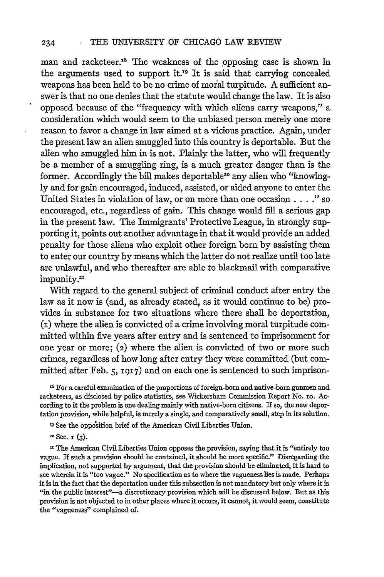man and racketeer.<sup>18</sup> The weakness of the opposing case is shown in the arguments used to support it.<sup>19</sup> It is said that carrying concealed weapons has been held to be no crime of moral turpitude. A sufficient answer is that no one denies that the statute would change the law. It is also opposed because of the "frequency with which aliens carry weapons," a consideration which would seem to the unbiased person merely one more reason to favor a change in law aimed at a vicious practice. Again, under the present law an alien smuggled into this country is deportable. But the alien who smuggled him in is not. Plainly the latter, who will frequently be a member of a smuggling ring, is a much greater danger than is the former. Accordingly the bill makes deportable<sup>20</sup> any alien who "knowingly and for gain encouraged, induced, assisted, or aided anyone to enter the United States in violation of law, or on more than one occasion.. ." so encouraged, etc., regardless of gain. This change would **fll** a serious gap in the present law. The Immigrants' Protective League, in strongly supporting it, points out another advantage in that it would provide an added penalty for those aliens who exploit other foreign born by assisting them to enter our country by means which the latter do not realize until too late are unlawful, and who thereafter are able to blackmail with comparative mpunity.<sup>21</sup>

With regard to the general subject of criminal conduct after entry the law as it now is (and, as already stated, as it would continue to be) provides in substance for two situations where there shall be deportation, **(i)** where the alien is convicted of a crime involving moral turpitude committed within five years after entry and is sentenced to imprisonment for one year or more; (2) where the alien is convicted of two or more such crimes, regardless of how long after entry they were committed (but committed after Feb. **5, I917)** and on each one is sentenced to such imprison-

**<sup>18</sup>**For a careful examination of the proportions of foreign-born and native-born gunmen and racketeers, as disclosed **by** police statistics, see Wickersham Commission Report No. **zo.** According to it the problem is one dealing mainly with native-born citizens. If so, the new deportation provision, while helpful, is merely a single, and comparatively small, step in its solution.

'9 See the opposition brief of the American Civil Liberties Union.

**1°** Sec. 1 (3).

21 The American Civil Liberties Union opposes the provision, saying that it is "entirely too vague. If such a provision should be contained, it should be more specific." Disregarding the implication, not supported by argument, that the provision should be eliminated, it is hard to see wherein it is "too vague." No specification as to where the vagueness lies is made. Perhaps it is in the fact that the deportation under this subsection is not mandatory but only where it is "in the public interest"-- a discretionary provision which will be discussed below. But as this provision is not objected to in other places where it occurs, it cannot, it would seem, constitute the "vagueness" complained of.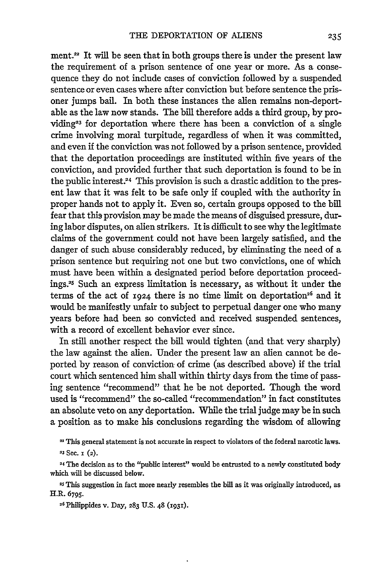ment. $22$  It will be seen that in both groups there is under the present law the requirement of a prison sentence of one year or more. As a consequence they do not include cases of conviction followed by a suspended sentence or even cases where after conviction but before sentence the prisoner jumps bail. In both these instances the alien remains non-deportable as the law now stands. The bill therefore adds a third group, by providing<sup>23</sup> for deportation where there has been a conviction of a single crime involving moral turpitude, regardless of when it was committed, and even if the conviction was not followed by a prison sentence, provided that the deportation proceedings are instituted within five years of the conviction, and provided further that such deportation is found to be in the public interest.24 This provision is such a drastic addition to the present law that it was felt to be safe only if coupled with the authority in proper hands not to apply it. Even so, certain groups opposed to the bill fear that this provision may be made the means of disguised pressure, during labor disputes, on alien strikers. It is difficult to see why the legitimate claims of the government could not have been largely satisfied, and the danger of such abuse considerably reduced, by eliminating the need of a prison sentence but requiring not one but two convictions, one of which must have been within a designated period before deportation proceed**ings.25** Such an express limitation is necessary, as without it under the terms of the act of 1924 there is no time limit on deportation<sup>26</sup> and it would be manifestly unfair to subject to perpetual danger one who many years before had been so convicted and received suspended sentences, with a record of excellent behavior ever since.

In still another respect the bill would tighten (and that very sharply) the law against the alien. Under the present law an allen cannot be deported by reason of conviction of crime (as described above) if the trial court which sentenced him shall within thirty days from the time of passing sentence "recommend" that he be not deported. Though the word used is "recommend" the so-called "recommendation" in fact constitutes an absolute veto on any deportation. While the trial judge may be in such a position as to make his conclusions regarding the wisdom of allowing

**2s** This suggestion in fact more nearly resembles the bill as it was originally introduced, as H.R. 6795.

**26** Philippides v. Day, **283** U.S. 48 **(193r).**

**<sup>2</sup>**This general statement is not accurate in respect to violators of the federal narcotic laws. **23** Sec. **I** (2).

**<sup>24</sup>**The decision as to the "public interest" would be entrusted to a newly constituted body which will be discussed below.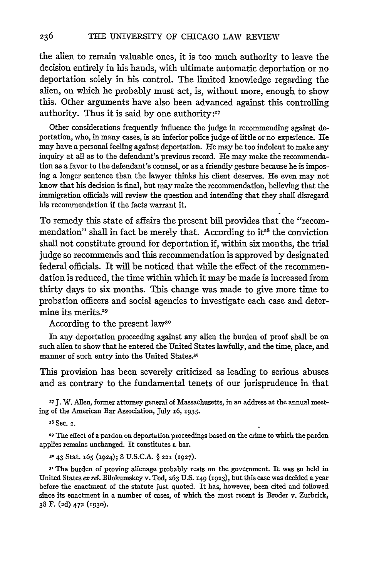the alien to remain valuable ones, it is too much authority to leave the decision entirely in his hands, with ultimate automatic deportation or no deportation solely in his control. The limited knowledge regarding the alien, on which he probably must act, is, without more, enough to show this. Other arguments have also been advanced against this controlling authority. Thus it is said by one authority **:27**

Other considerations frequently influence the judge in recommending against deportation, who, in many cases, is an inferior police judge of little or no experience. He may have a personal feeling against deportation. He may be too indolent to make any inquiry at all as to the defendant's previous record. He may make the recommendation as a favor to the defendant's counsel, or as a friendly gesture because he is imposing a longer sentence than the lawyer thinks his client deserves. He even may not know that his decision is final, but may make the recommendation, believing that the immigration officials will review the question and intending that they shall disregard his recommendation if the facts warrant it.

To remedy this state of affairs the present bill provides that the "recommendation" shall in fact be merely that. According to it<sup>28</sup> the conviction shall not constitute ground for deportation if, within six months, the trial judge so recommends and this recommendation is approved by designated federal officials. It will be noticed that while the effect of the recommendation is reduced, the time within which it may be made is increased from thirty days to six months. This change was made to give more time to probation officers and social agencies to investigate each case and determine its merits.<sup>29</sup>

According to the present **law3°**

In any deportation proceeding against any alien the burden of proof shall be on such alien to show that he entered the United States lawfully, and the time, place, and manner of such entry into the United States.3'

This provision has been severely criticized as leading to serious abuses and as contrary to the fundamental tenets of our jurisprudence in that

**27J.** W. Allen, former attorney general of Massachusetts, in an address at the annual meeting of the American Bar Association, July **16, 1935.**

28 Sec. **2.**

**<sup>29</sup>**The effect of a pardon on deportation proceedings based on the crime to which the pardon applies remains unchanged. It constitutes a bar.

**<sup>30</sup>**43 Stat. 165 **(1924);** 8 U.S.C.A. § **221 (1927).**

**31** The burden of proving alienage probably rests on the government. It was so held in United States *ex rel.* Bilokumskey v. Tod, **263** U.S. **149 (1923),** but this case was decided a year before the enactment of the statute just quoted. It has, however, been cited and followed since its enactment in a number of cases, of which the most recent is Broder v. Zurbrick, 38 F. **(2d) 472** (1930).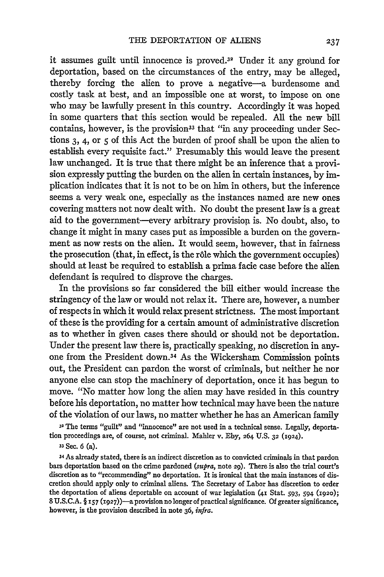it assumes guilt until innocence is proved. $32$  Under it any ground for deportation, based on the circumstances of the entry, may be alleged, thereby forcing the alien to prove a negative-a burdensome and costly task at best, and an impossible one at worst, to impose on one who may be lawfully present in this country. Accordingly it was hoped in some quarters that this section would be repealed. All the new bill contains, however, is the provision<sup>33</sup> that "in any proceeding under Sections 3, 4, or **5** of this Act the burden of proof shall be upon the alien to establish every requisite fact." Presumably this would leave the present law unchanged. It is true that there might be an inference that a provision expressly putting the burden on the alien in certain instances, by **im**plication indicates that it is not to be on him in others, but the inference seems a very weak one, especially as the instances named are new ones covering matters not now dealt with. No doubt the present law is a great aid to the government-every arbitrary provision is. No doubt, also, to change it might in many cases put as impossible a burden on the government as now rests on the alien. It would seem, however, that in fairness the prosecution (that, in effect, is the rôle which the government occupies) should at least be required to establish a prima facie case before the alien defendant is required to disprove the charges.

In the provisions so far considered the bill either would increase the stringency of the law or would not relax it. There are, however, a number of respects in which it would relax present strictness. The most important of these is the providing for a certain amount of administrative discretion as to whether in given cases there should or should not be deportation. Under the present law there is, practically speaking, no discretion in anyone from the President down.34 As the Wickersham Commission points out, the President can pardon the worst of criminals, but neither he nor anyone else can stop the machinery of deportation, once it has begun to move. "No matter how long the alien may have resided in this country before his deportation, no matter how technical may have been the nature of the violation of our laws, no matter whether he has an American family

**31** The terms "guilt" and "innocence" are not used in a technical sense. Legally, deportation proceedings are, of course, not criminal. Mahler v. Eby, **264** U.S. **32** (1924).

**<sup>33</sup>**Sec. **6** (a).

**<sup>34</sup>**As already stated, there is an indirect discretion as to convicted criminals in that pardon bars deportation based on the crime pardoned *(supra,* note 29). There is also the trial court's discretion as to "recommending" no deportation. It is ironical that the main instances of discretion should apply only to criminal aliens. The Secretary of Labor has discretion to order the deportation of aliens deportable on account of war legislation **(41** Stat. **593,** 594 **(1920); 8 U.S.C.A.** § **157 (1927))-a** provision no longer of practical significance. **Of** greater significance, however, is the provision described in note **36,** *infra.*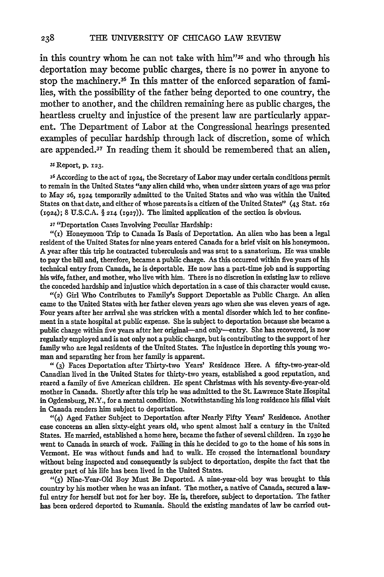in this country whom he can not take with him"35 and who through his deportation may become public charges, there is no power in anyone to stop the machinery.36 In this matter of the enforced separation of families, with the possibility of the father being deported to one country, the mother to another, and the children remaining here as public charges, the heartless cruelty and injustice of the present law are particularly apparent. The Department of Labor at the Congressional hearings presented examples of peculiar hardship through lack of discretion, some of which are appended.37 In reading them it should be remembered that an alien,

#### 3s Report, **p. 123.**

**36** According to the act of 1924, the Secretary of Labor may under certain conditions permit to remain in the United States "any alien child who, when under sixteen years of age was prior to May **26,** 1924 temporarily admitted to the United States and who was within the United States on that date, and either of whose parents is a citizen of the United States" (43 Stat. **x62** (1924); 8 U.S.C.A. § **214** (1927)). The limited application of the section is obvious.

**<sup>37</sup>**"Deportation Cases Involving Peculiar Hardship:

 $''(r)$  Honeymoon Trip to Canada Is Basis of Deportation. An alien who has been a legal resident of the United States for nine years entered Canada for a brief visit on his honeymoon. A year after this trip he contracted tuberculosis and was sent to a sanatorium. He was unable to pay the bill and, therefore, became a public charge. As this occurred within five years of his technical entry from Canada, he is deportable. He now has a part-time job and is supporting his wife, father, and mother, who live with him. There is no discretion in existing law to relieve the conceded hardship and injustice which deportation in a case of this character would cause.

"(2) Girl Who Contributes to Family's Support Deportable as Public Charge. An alien came to the United States with her father eleven years ago when she was eleven years of age. Four years after her arrival she was stricken with a mental disorder which led to her confinement in a state hospital at public expense. She is subject to deportation because she became a public charge within five years after her original-and only-entry. She has recovered, is now regularly employed and is not only not a public charge, but is contributing to the support of her family who are legal residents of the United States. The injustice in deporting this young woman and separating her from her family is apparent.

**" (3)** Faces Deportation after Thirty-two Years' Residence Here. A fifty-two-year-old Canadian lived in the United States for thirty-two years, established a good reputation, and reared a family of five American children. He spent Christmas with his seventy-five-year-old mother in Canada. Shortly after this trip he was admitted to the St. Lawrence State Hospital in Ogdensburg, N.Y., for a mental condition. Notwithstanding his long residence his filial visit in Canada renders him subject to deportation.

"(4) Aged Father Subject to Deportation after Nearly Fifty Years' Residence. Another case concerns an alien sixty-eight years old, who spent almost half a century in the United States. He married, established a home here, became the father of several children. In **193o** he went to Canada in search of work. Failing in this he decided to go to the home of his sons in Vermont. He was without funds and had to walk. He crossed the international boundary without being inspected and consequently is subject to deportation, despite the fact that the greater part of his life has been lived in the United States.

"(5) Nine-Year-Old Boy Must Be Deported. A nine-year-old boy was brought to this country by his mother when he was an infant. The mother, a native of Canada, secured a lawful entry for herself but not for her boy. He is, therefore, subject to deportation. The father has been ordered deported to Rumania. Should the existing mandates of law be carried out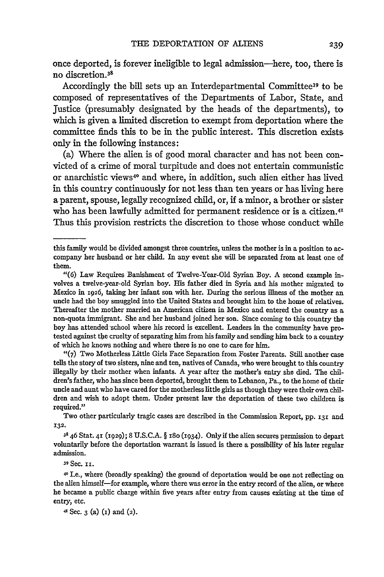once deported, is forever ineligible to legal admission-here, too, there is no discretion.<sup>3</sup> '

Accordingly the bill sets up an Interdepartmental Committee<sup>39</sup> to be composed of representatives of the Departments of Labor, State, and Justice (presumably designated by the heads of the departments), to which is given a limited discretion to exempt from deportation where the committee finds this to be in the public interest. This discretion exists only in the following instances:

(a) Where the alien is of good moral character and has not been convicted of a crime of moral turpitude and does not entertain communistic or anarchistic views<sup>40</sup> and where, in addition, such alien either has lived in this country continuously for not less than ten years or has living here a parent, spouse, legally recognized child, or, if a minor, a brother or sister who has been lawfully admitted for permanent residence or is a citizen.<sup>41</sup> Thus this provision restricts the discretion to those whose conduct while

"(7) Two Motherless Little Girls Face Separation from Foster Parents. Still another case tells the story of two sisters, nine and ten, natives of Canada, who were brought to this country illegally by their mother when infants. A year after the mother's entry she died. The children's father, who has since been deported, brought them to Lebanon, Pa., to the home of their uncle and aunt who have cared for the motherless little girls as though they were their own children and wish to adopt them. Under present law the deportation of these two children is required."

Two other particularly tragic cases are described in the Commission Report, pp. **x31** and **132.**

**38** 46 Stat. **41** (1929); 8 U.S.C.A. § 18o (i934). Onlyif the alien secures permission to depart voluntarily before the deportation warrant is issued is there a possibility of his later regular admission.

**39** Sec. **ii.**

4 I.e., where (broadly speaking) the ground of deportation would be one not reflecting on the alien himself-for example, where there was error in the entry record of the alien, or where he became a public charge within five years after entry from causes existing at the time of entry, etc.

41 Sec. **3** (a) **(i)** and (2).

this family would be divided amongst three countries, unless the mother is in a position to accompany her husband or her child. In any event she will be separated from at least one of them.

<sup>&</sup>quot;(6) Law Requires Banishment of Twelve-Year-Old Syrian Boy. A second example involves a twelve-year-old Syrian boy. His father died in Syria and his mother migrated to Mexico in 1926, taking her infant son with her. During the serious illness of the mother an uncle had the boy smuggled into the United States and brought him to the home of relatives. Thereafter the mother married an American citizen in Mexico and entered the country as a non-quota immigrant. She and her husband joined her son. Since coming to this country the boy has attended school where his record is excellent. Leaders in the community have protested against the cruelty of separating him from his family and sending him back to a country of which he knows nothing and where there is no one to care for him.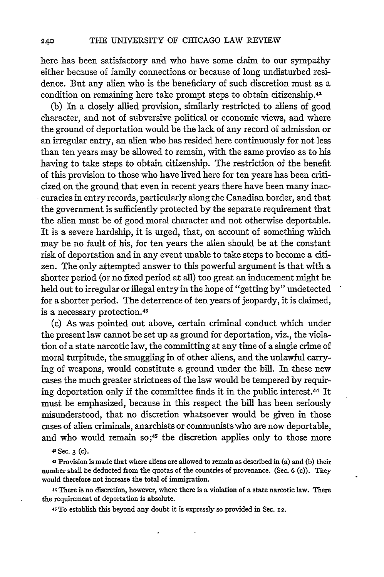here has been satisfactory and who have some claim to our sympathy either because of family connections or because of long undisturbed residence. But any alien who is the beneficiary of such discretion must as a condition on remaining here take prompt steps to obtain citizenship.42

(b) In a closely allied provision, similarly restricted to aliens of good character, and not of subversive political or economic views, and where the ground of deportation would be the lack of any record of admission or an irregular entry, an alien who has resided here continuously for not less than ten years may be allowed to remain, with the same proviso as to his having to take steps to obtain citizenship. The restriction of the benefit of this provision to those who have lived here for ten years has been criticized on the ground that even in recent years there have been many inac- \* curacies in entry records, particularly along the Canadian border, and that the government is sufficiently protected by the separate requirement that the alien must be of good moral character and not otherwise deportable. It is a severe hardship, it is urged, that, on account of something which may be no fault of his, for ten years the alien should be at the constant risk of deportation and in any event unable to take steps to become a citizen. The only attempted answer to this powerful argument is that with a shorter period (or no fixed period at all) too great an inducement might be held out to irregular or illegal entry in the hope of "getting by" undetected for a shorter period. The deterrence of ten years of jeopardy, it is claimed, is a necessary protection.<sup>43</sup>

(c) As was pointed out above, certain criminal conduct which under the present law cannot be set up as ground for deportation, viz., the violation of a state narcotic law, the committing at any time of a single crime of moral turpitude, the smuggling in of other aliens, and the unlawful carrying of weapons, would constitute a ground under the bill. In these new cases the much greater strictness of the law would be tempered by requiring deportation only **if** the committee finds it in the public interest.44 It must be emphasized, because in this respect the bill has been seriously misunderstood, that no discretion whatsoever would be given in those cases of alien criminals, anarchists or communists who are now deportable, and who would remain so;<sup>45</sup> the discretion applies only to those more

42 **Sec. 3 (c).**

**43 Provision is** made **that** where **aliens are allowed to remain as** described **in (a) and (b) their number shall be deducted from** the **quotas of the countries of provenance. (Sec. 6 (c)). They would therefore not increase the total of immigration.**

**44 There is no discretion, however, where there is a violation of a state narcotic law. There the requirement of deportation is absolute.**

**4s To establish this beyond any doubt it is expressly so provided** in **Sec. 12.**

240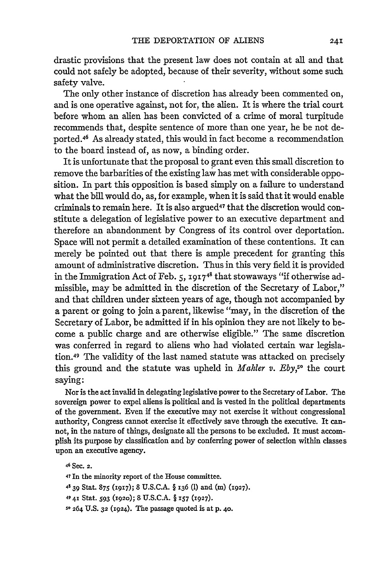drastic provisions that the present law does not contain at all and that could not safely be adopted, because of their severity, without some such safety valve.

The only other instance of discretion has already been commented on, and is one operative against, not for, the alien. It is where the trial court before whom an alien has been convicted of a crime of moral turpitude recommends that, despite sentence of more than one year, he be not deported.46 As already stated, this would in fact become a recommendation to the board instead of, as now, a binding order.

It is unfortunate that the proposal to grant even this small discretion to remove the barbarities of the existing law has met with considerable opposition. In part this opposition is based simply on a failure to understand what the bill would do, as, for example, when it is said that it would enable criminals to remain here. It is also argued<sup>47</sup> that the discretion would constitute a delegation of legislative power to an executive department and therefore an abandonment by Congress of its control over deportation. Space will not permit a detailed examination of these contentions. It can merely be pointed out that there is ample precedent for granting this amount of administrative discretion. Thus in this very field it is provided in the Immigration Act of Feb. 5, **191748** that stowaways **"if** otherwise admissible, may be admitted in the discretion of the Secretary of Labor," and that children under sixteen years of age, though not accompanied by a parent or going to join a parent, likewise "may, in the discretion of the Secretary of Labor, be admitted if in his opinion they are not likely to become a public charge and are otherwise eligible." The same discretion was conferred in regard to aliens who had violated certain war legislation.49 The validity of the last named statute was attacked on precisely this ground and the statute was upheld in *Mahler v. Eby*,<sup>50</sup> the court saying:

Nor is the act invalid in delegating legislative power to the Secretary of Labor. The sovereign power to expel aliens is political and is vested in the political departments of the government. Even if the executive may not exercise it without congressional authority, Congress cannot exercise it effectively save through the executive. It cannot, in the nature of things, designate all the persons to be excluded. It must accomplish its purpose by classification and by conferring power of selection within classes upon an executive agency.

**<sup>46</sup>**Sec. **2.** 47 In the minority report of the House committee. 4.39 Stat. **875 (1917);** 8 U.S.C.A. § **136** (1) and (m) (1927). 4941 Stat. **593 (1920);** 8 **U.S.C.A.** § *i57* **(1927). 5o 264** U.S. **32** (1924). The passage quoted is at p. 40.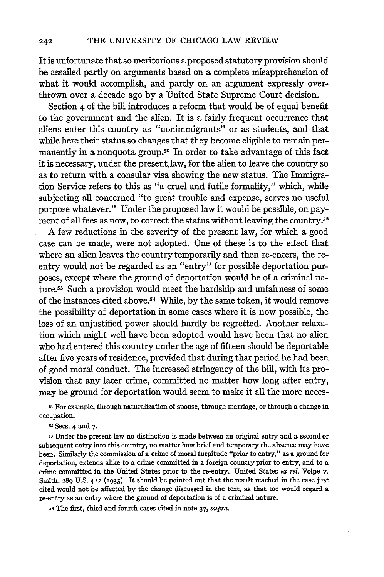It is unfortunate that so meritorious a proposed statutory provision should be assailed partly on arguments based on a complete misapprehension of what it would accomplish, and partly on an argument expressly overthrown over a decade ago by a United State Supreme Court decision.

Section 4 of the bill introduces a reform that would be of equal benefit to the government and the alien. It is a fairly frequent occurrence that aliens enter this country as "nonimmigrants" or as students, and that while here their status so changes that they become eligible to remain permanently in a nonquota group. $5<sup>x</sup>$  In order to take advantage of this fact it is necessary, under the present law, for the alien to leave the country so as to return with a consular visa showing the new status. The Immigration Service refers to this as "a cruel and futile formality," which, while subjecting all concerned "to great trouble and expense, serves no useful purpose whatever." Under the proposed law it would be possible, on payment of all fees as now, to correct the status without leaving the country.<sup>52</sup>

A few reductions in the severity of the present law, for which a good case can be made, were not adopted. One of these is to the effect that where an alien leaves the country temporarily and then re-enters, the reentry would not be regarded as an "entry" for possible deportation purposes, except where the ground of deportation would be of a criminal nature.<sup>53</sup> Such a provision would meet the hardship and unfairness of some of the instances cited above.<sup>54</sup> While, by the same token, it would remove the possibility of deportation in some cases where it is now possible, the loss of an unjustified power should hardly be regretted. Another relaxation which might well have been adopted would have been that no alien who had entered this country under the age of fifteen should be deportable after five years of residence, provided that during that period he had been of good moral conduct. The increased stringency of the bill, with its provision that any later crime, committed no matter how long after entry, may be ground for deportation would seem to make it all the more neces-

st For example, through naturalization of spouse, through marriage, or through a change in occupation.

52 Secs. 4 and 7.

**s3** Under the present law no distinction is made between an original entry and a second or subsequent entry into this country, no matter how brief and temporary the absence may have been. Similarly the commission of a crime of moral turpitude "prior to entry," as a ground for deportation, extends alike to a crime committed in a foreign country prior to entry, and to a crime committed in the United States prior to the re-entry. United States *ex rel.* Volpe v. Smith, 289 U.S. 422 (1933). It should be pointed out that the result reached in the case just cited would not be affected by the change discussed in the text, as that too would regard a re-entry as an entry where the ground of deportation is of a criminal nature.

*S4* The first, third and fourth cases cited in note 37, *supra.*